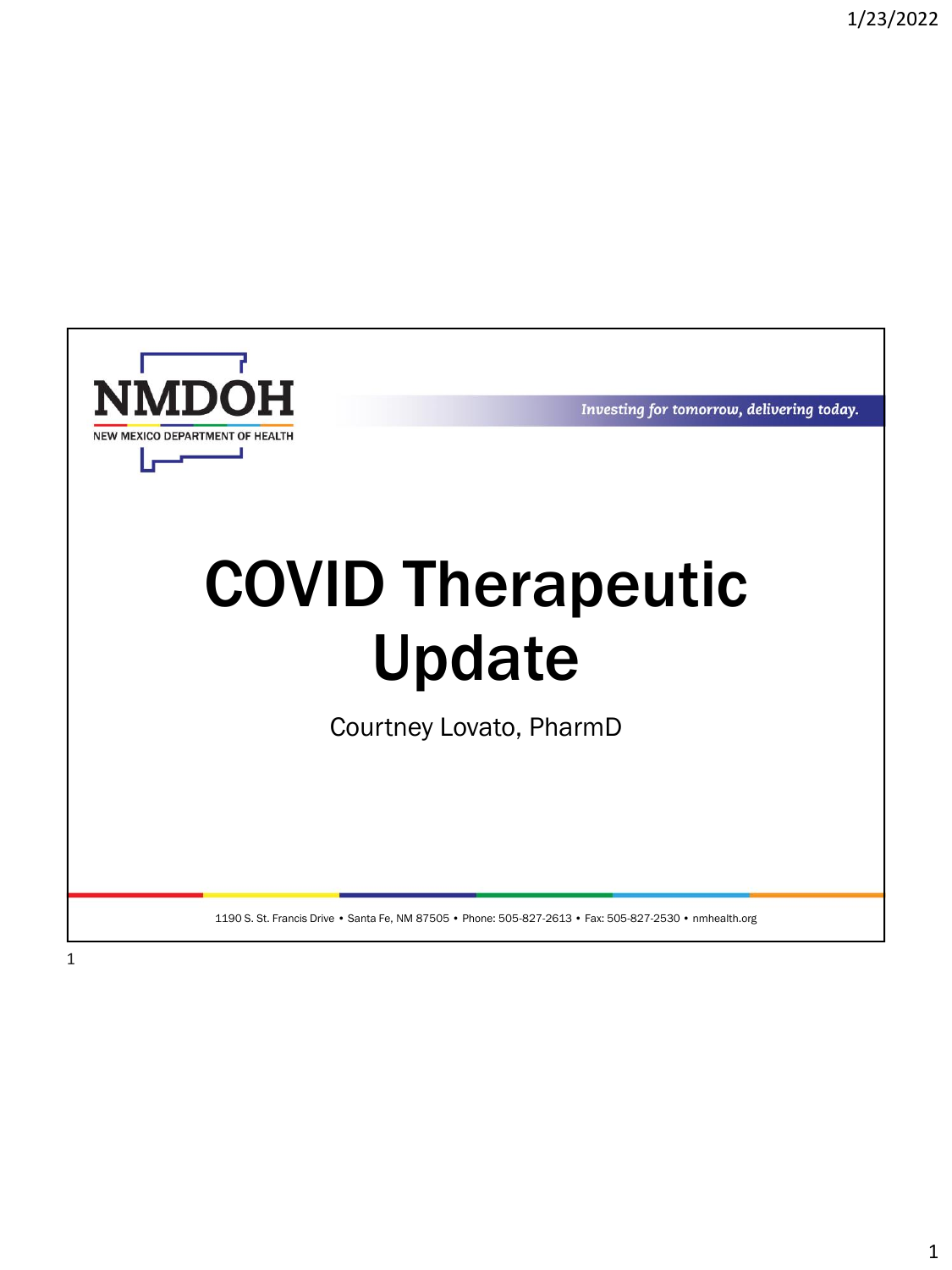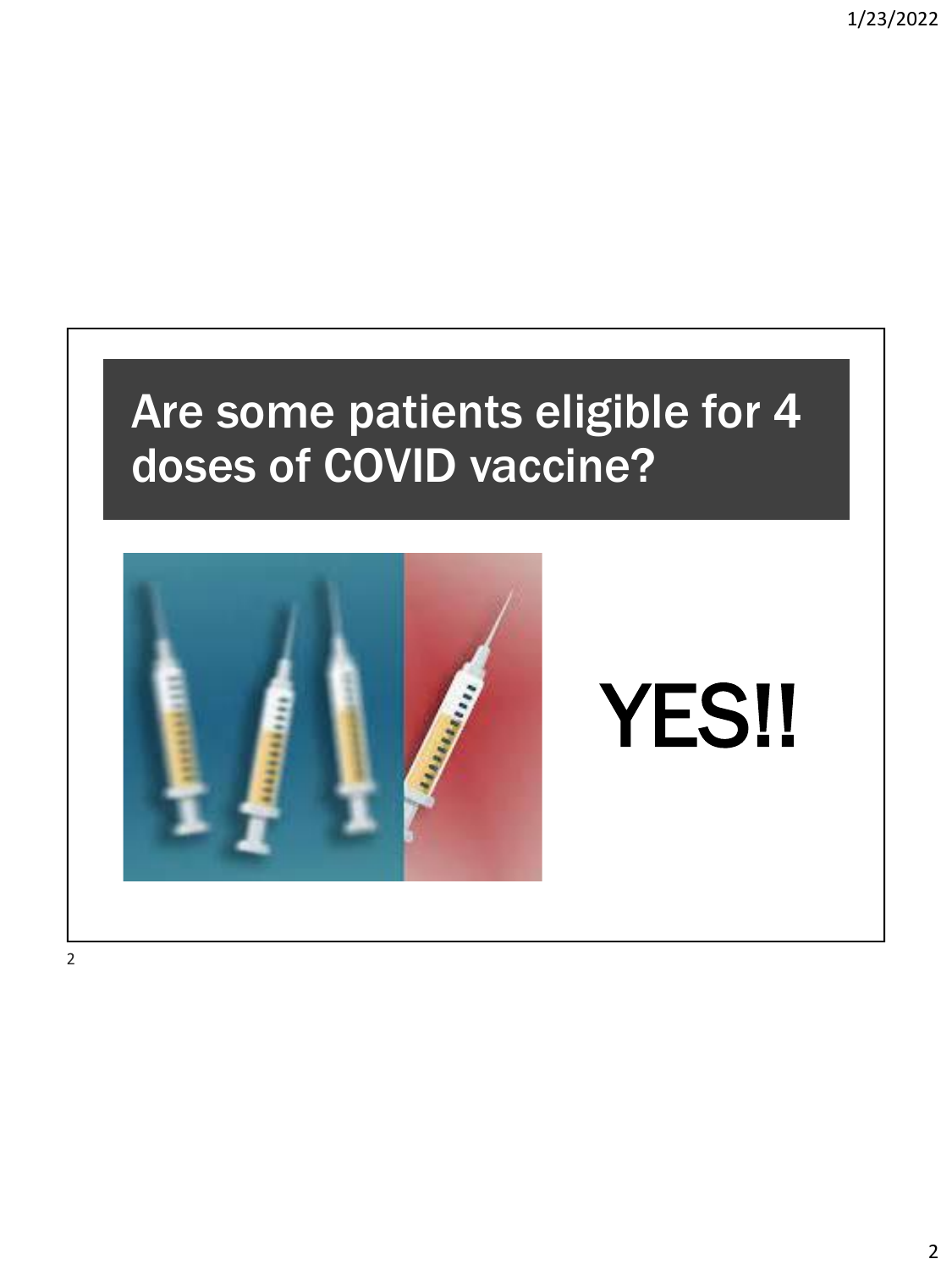# Are some patients eligible for 4 doses of COVID vaccine? YES!!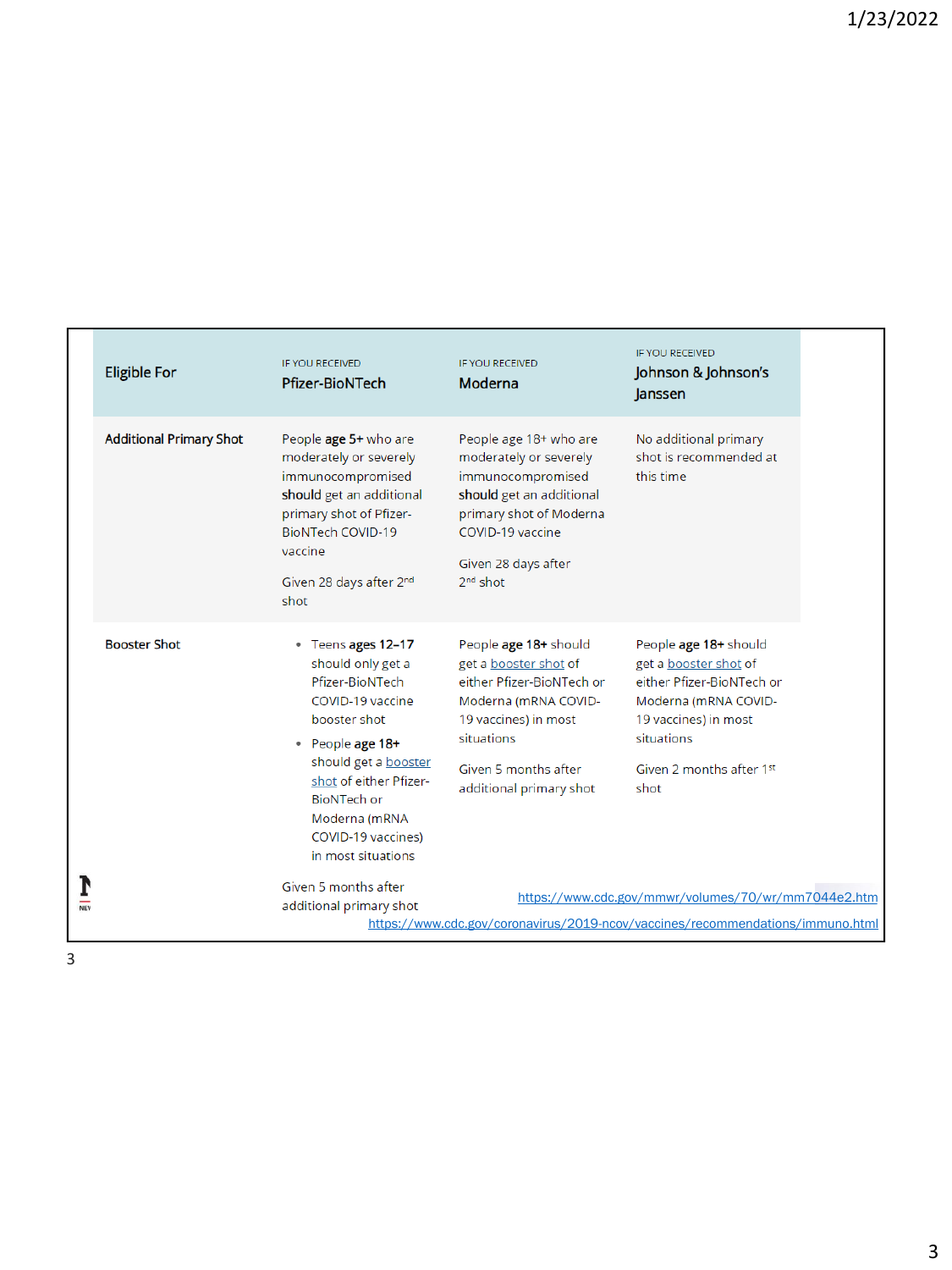|            | <b>Eligible For</b>            | <b>IF YOU RECEIVED</b><br><b>Pfizer-BioNTech</b>                                                                                                                                                                                                               | <b>IF YOU RECEIVED</b><br>Moderna                                                                                                                                                            | <b>IF YOU RECEIVED</b><br>Johnson & Johnson's<br>Janssen                                                                                                                      |  |
|------------|--------------------------------|----------------------------------------------------------------------------------------------------------------------------------------------------------------------------------------------------------------------------------------------------------------|----------------------------------------------------------------------------------------------------------------------------------------------------------------------------------------------|-------------------------------------------------------------------------------------------------------------------------------------------------------------------------------|--|
|            | <b>Additional Primary Shot</b> | People age 5+ who are<br>moderately or severely<br>immunocompromised<br>should get an additional<br>primary shot of Pfizer-<br><b>BioNTech COVID-19</b><br>vaccine<br>Given 28 days after 2 <sup>nd</sup><br>shot                                              | People age 18+ who are<br>moderately or severely<br>immunocompromised<br>should get an additional<br>primary shot of Moderna<br>COVID-19 vaccine<br>Given 28 days after<br>$2nd$ shot        | No additional primary<br>shot is recommended at<br>this time                                                                                                                  |  |
|            | <b>Booster Shot</b>            | • Teens ages 12-17<br>should only get a<br>Pfizer-BioNTech<br>COVID-19 vaccine<br>booster shot<br>• People age 18+<br>should get a <b>booster</b><br>shot of either Pfizer-<br><b>BioNTech or</b><br>Moderna (mRNA<br>COVID-19 vaccines)<br>in most situations | People age 18+ should<br>get a booster shot of<br>either Pfizer-BioNTech or<br>Moderna (mRNA COVID-<br>19 vaccines) in most<br>situations<br>Given 5 months after<br>additional primary shot | People age 18+ should<br>get a booster shot of<br>either Pfizer-BioNTech or<br>Moderna (mRNA COVID-<br>19 vaccines) in most<br>situations<br>Given 2 months after 1st<br>shot |  |
| <b>NEV</b> |                                | Given 5 months after<br>additional primary shot                                                                                                                                                                                                                |                                                                                                                                                                                              | https://www.cdc.gov/mmwr/volumes/70/wr/mm7044e2.htm<br>https://www.cdc.gov/coronavirus/2019-ncov/vaccines/recommendations/immuno.html                                         |  |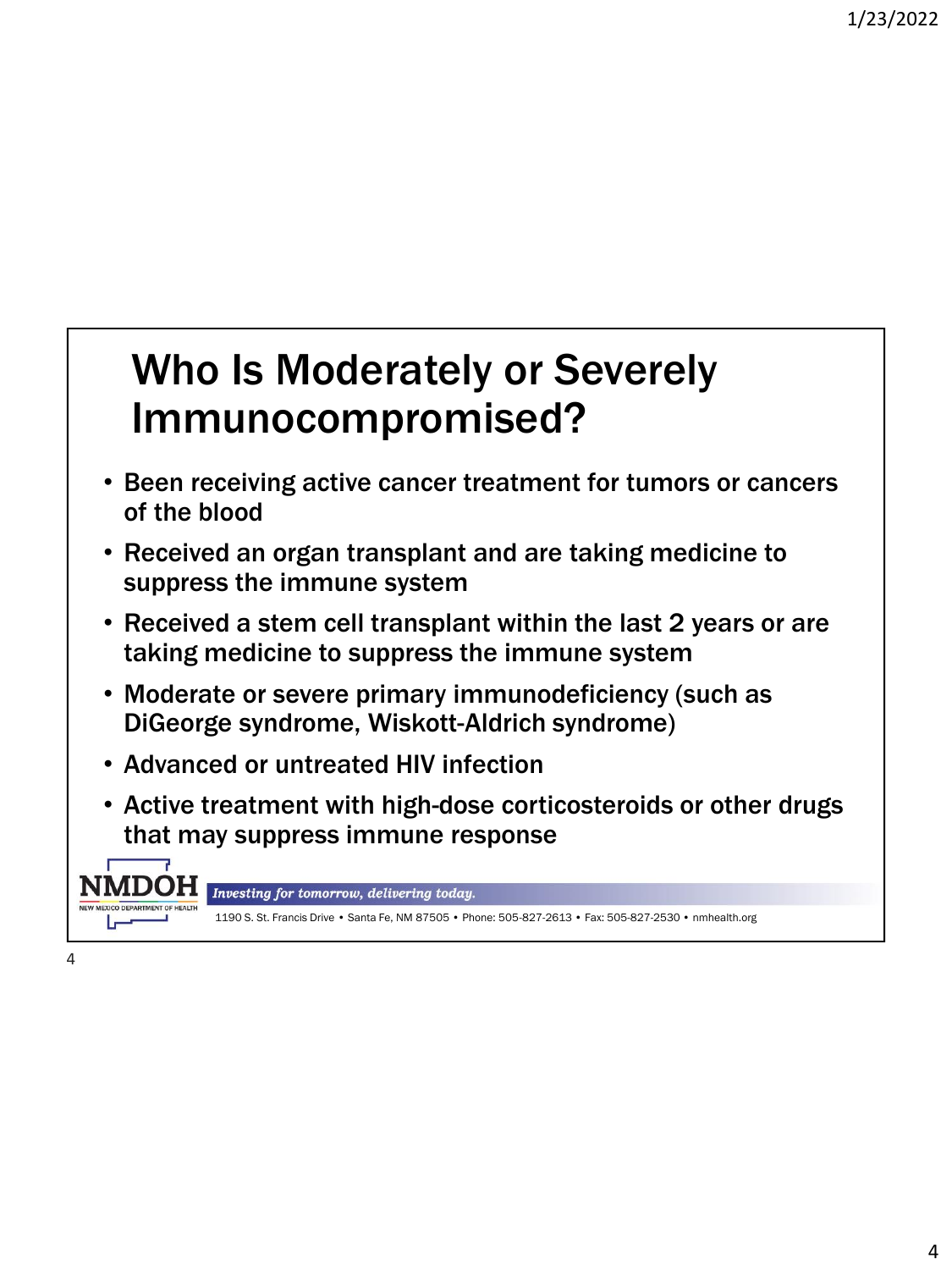## Who Is Moderately or Severely Immunocompromised?

- Been receiving active cancer treatment for tumors or cancers of the blood
- Received an organ transplant and are taking medicine to suppress the immune system
- Received a stem cell transplant within the last 2 years or are taking medicine to suppress the immune system
- Moderate or severe primary immunodeficiency (such as DiGeorge syndrome, Wiskott-Aldrich syndrome)
- Advanced or untreated HIV infection
- Active treatment with high-dose corticosteroids or other drugs that may suppress immune response

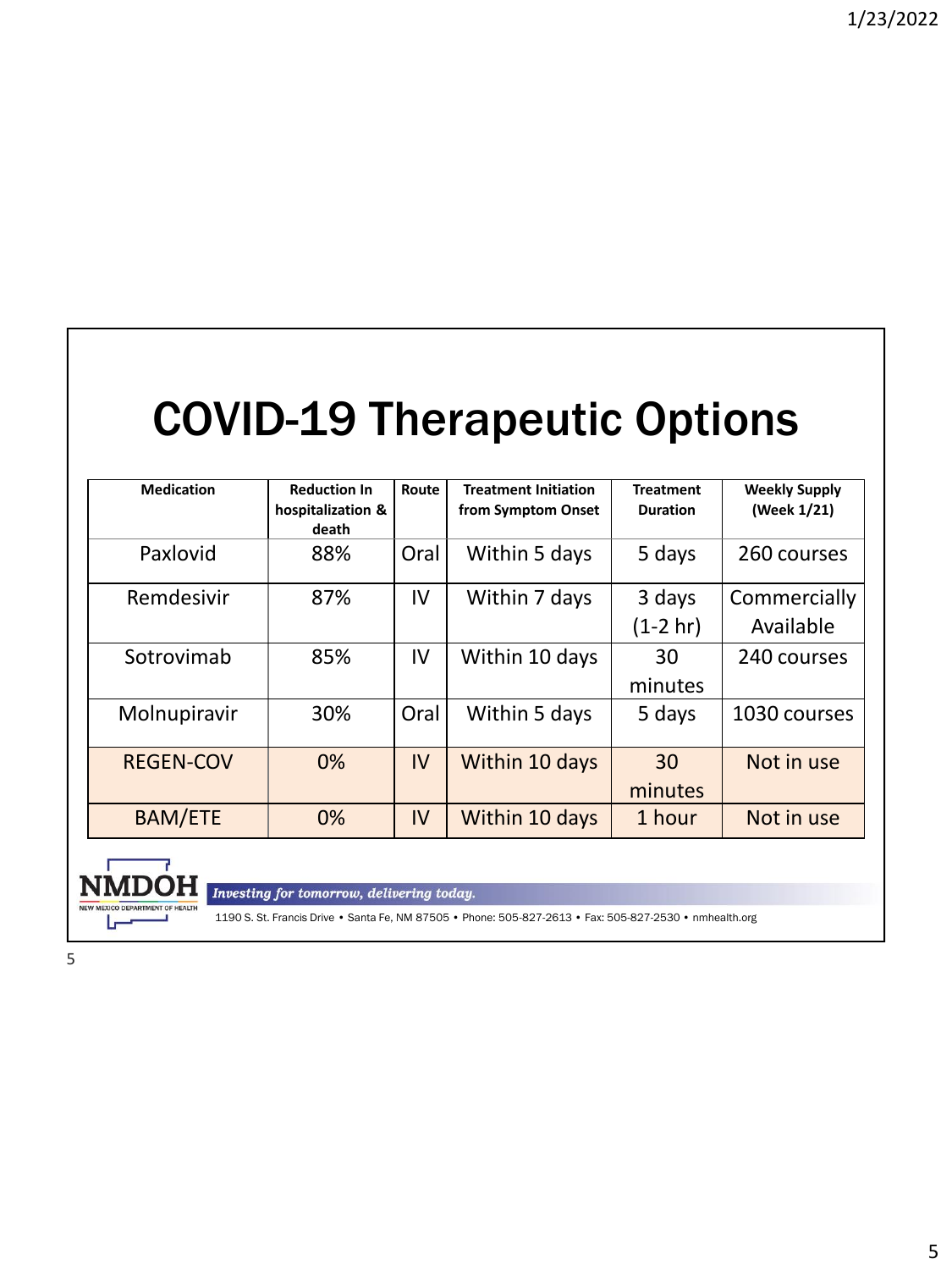## COVID-19 Therapeutic Options

| <b>Medication</b> | <b>Reduction In</b><br>hospitalization &<br>death | Route | <b>Treatment Initiation</b><br>from Symptom Onset | <b>Treatment</b><br><b>Duration</b> | <b>Weekly Supply</b><br>(Week 1/21) |
|-------------------|---------------------------------------------------|-------|---------------------------------------------------|-------------------------------------|-------------------------------------|
| Paxlovid          | 88%                                               | Oral  | Within 5 days                                     | 5 days                              | 260 courses                         |
| Remdesivir        | 87%                                               | IV    | Within 7 days                                     | 3 days<br>$(1-2 hr)$                | Commercially<br>Available           |
| Sotrovimab        | 85%                                               | IV    | Within 10 days                                    | 30<br>minutes                       | 240 courses                         |
| Molnupiravir      | 30%                                               | Oral  | Within 5 days                                     | 5 days                              | 1030 courses                        |
| <b>REGEN-COV</b>  | 0%                                                | IV    | Within 10 days                                    | 30<br>minutes                       | Not in use                          |
| <b>BAM/ETE</b>    | 0%                                                | IV    | Within 10 days                                    | 1 hour                              | Not in use                          |



Investing for tomorrow, delivering today.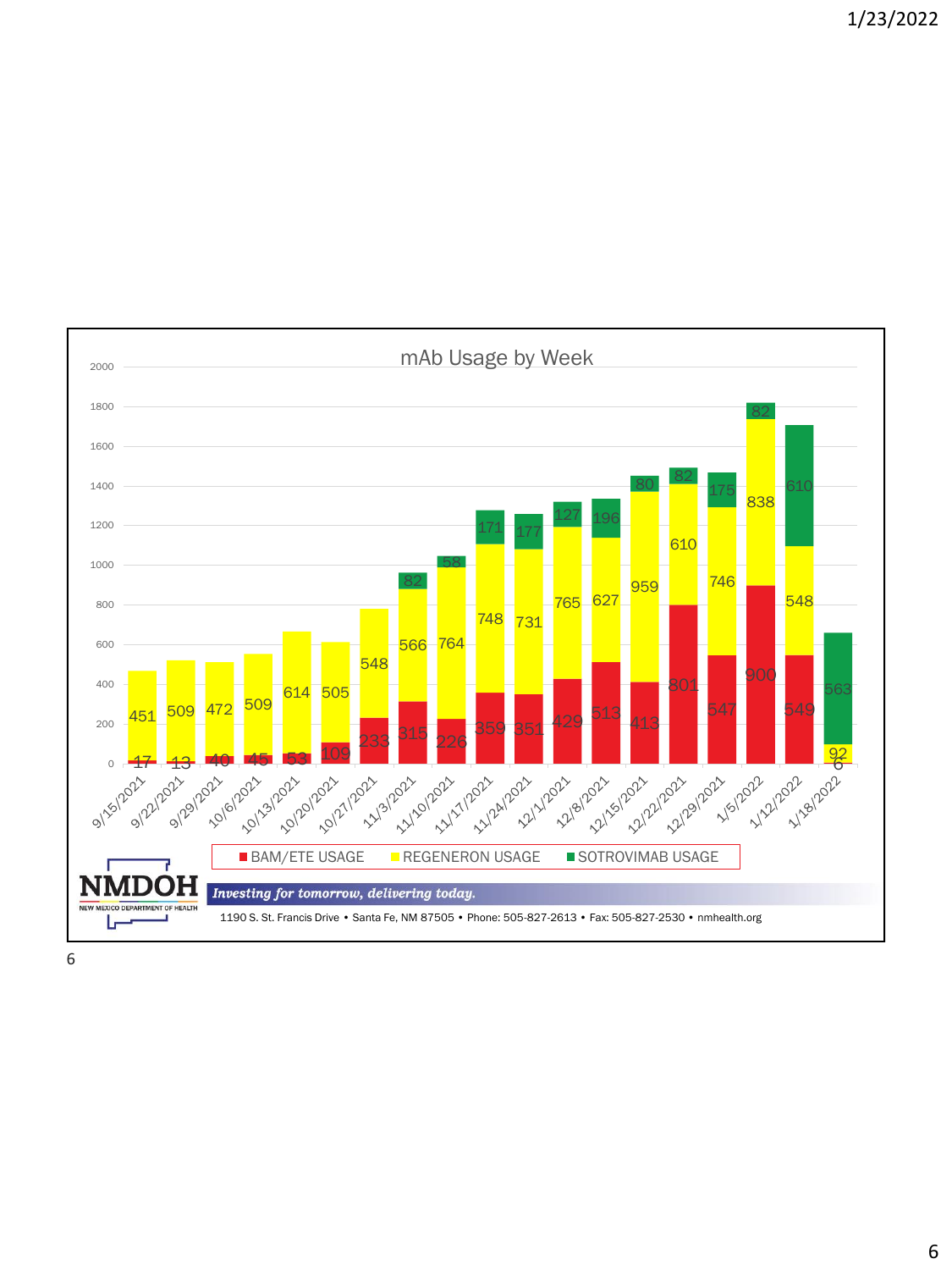2000 mAb Usage by Week 80 82 196 177 627 731 764 505 451 509 472 <sup>509</sup> 359 351 <sup>429 513</sup> 413 17 13 10 153 109 233 <sup>315</sup> 226 6 BAM/ETE USAGE REGENERON USAGE SOTROVIMAB USAGE 021-1022 011/10221 2021-1202-218 2021-1211-5 N H Investing for tomorrow, delivering today. NEW MEXICO DEPARTMENT OF HEALTH 1190 S. St. Francis Drive • Santa Fe, NM 87505 • Phone: 505-827-2613 • Fax: 505-827-2530 • nmhealth.org J, سا

1/23/2022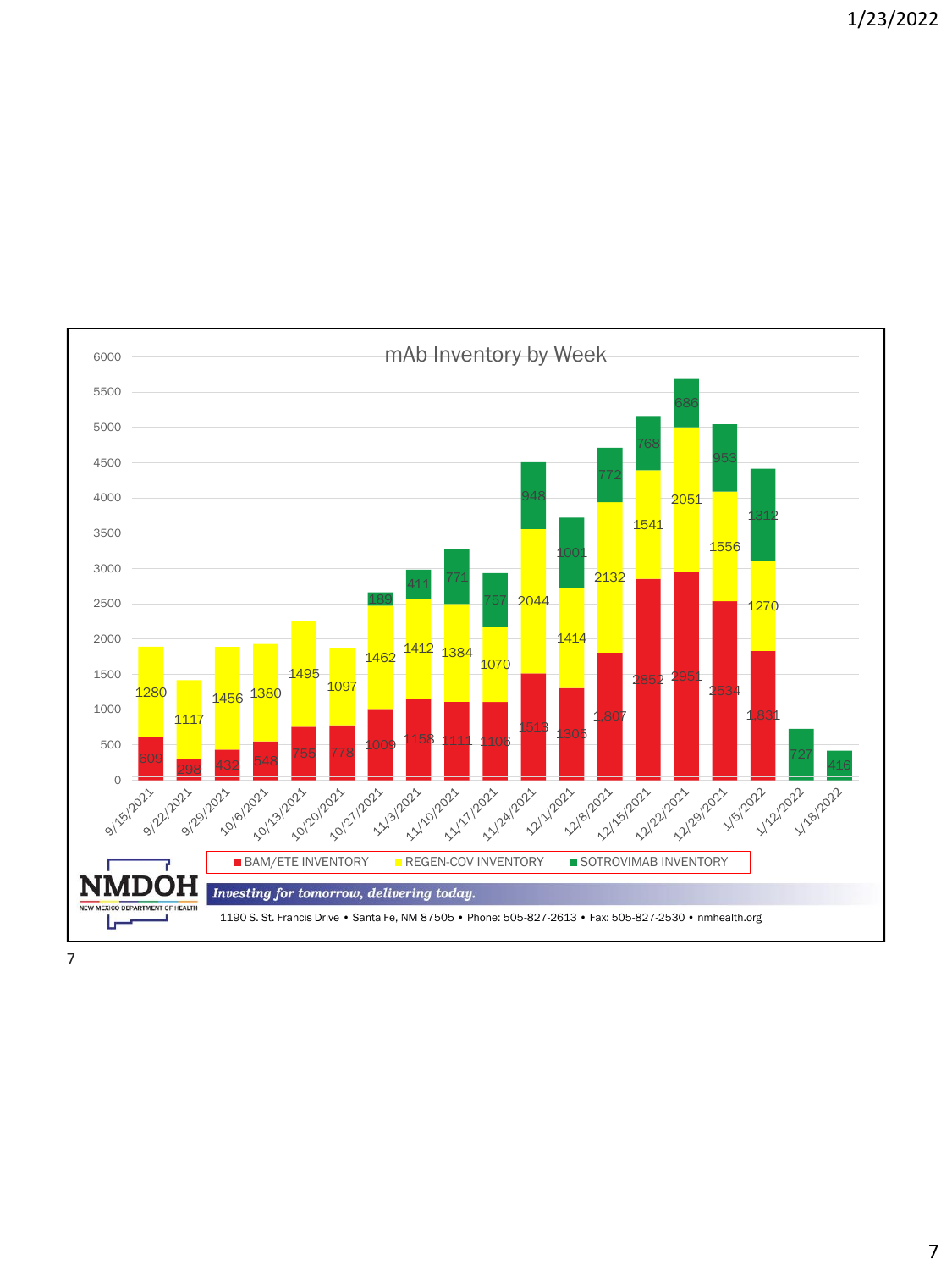6000 mAb Inventory by Week <sup>771</sup> 189 | <mark>199 | 199 | 197 | 1944 | 195 | 195 | 196 | 1970</mark> 1<sub>462</sub> 1<sub>412</sub> 1<sub>384</sub> 1<sub>456</sub> 1<sub>380</sub> 1,807 1,831 <sup>1305</sup> 298 432 548 755 778 1009 1158 1111 1106<br>298 432 548 755 778 **BAM/ETE INVENTORY REGEN-COV INVENTORY SOTROVIMAB INVENTORY** 2021-1202-218 12/8/2021 021-191202 2022-21202 **11/18/2022** 0 = JН Investing for tomorrow, delivering today. MEXICO DEPARTMENT OF HEALTH 1190 S. St. Francis Drive • Santa Fe, NM 87505 • Phone: 505-827-2613 • Fax: 505-827-2530 • nmhealth.org J, سما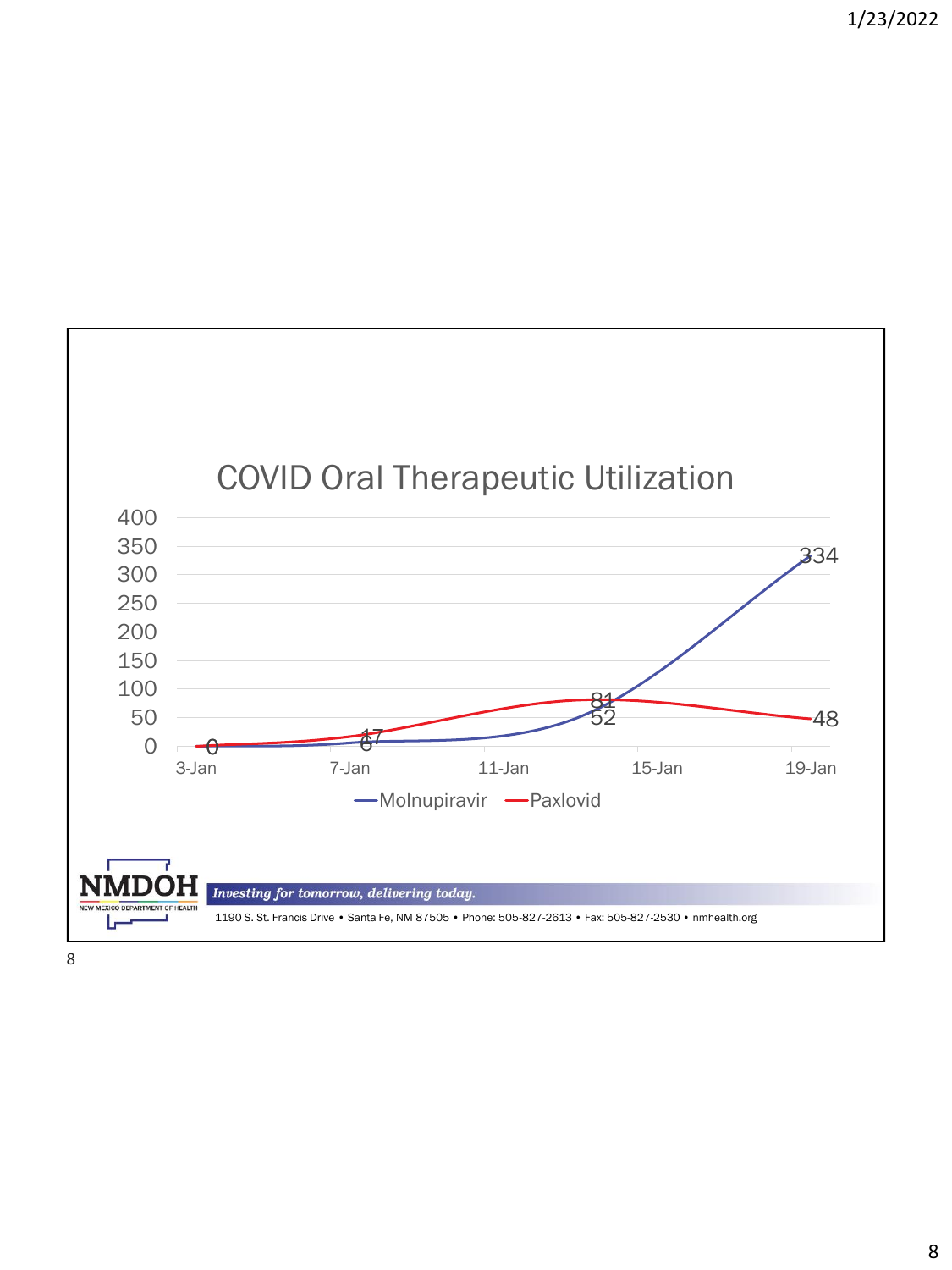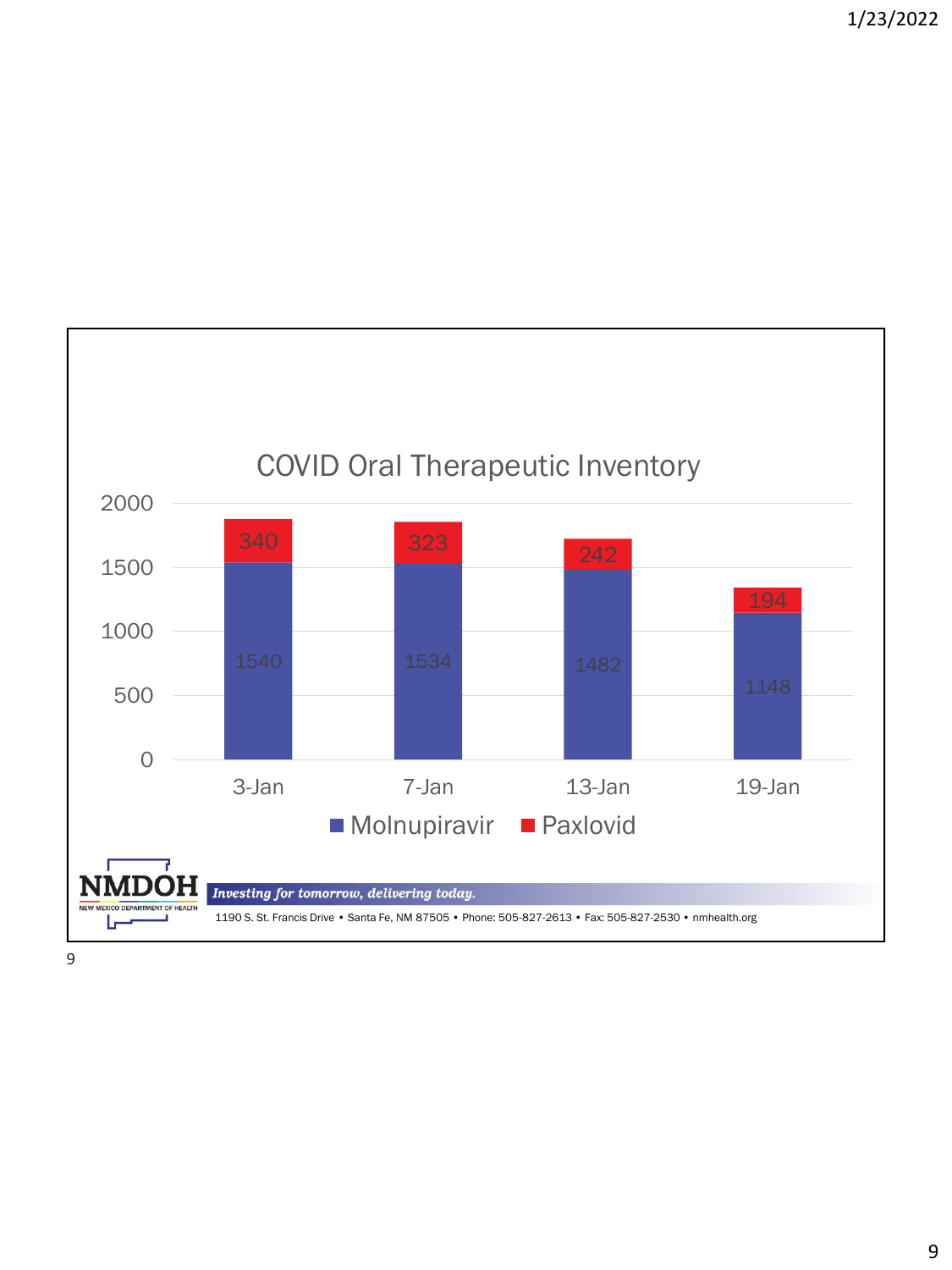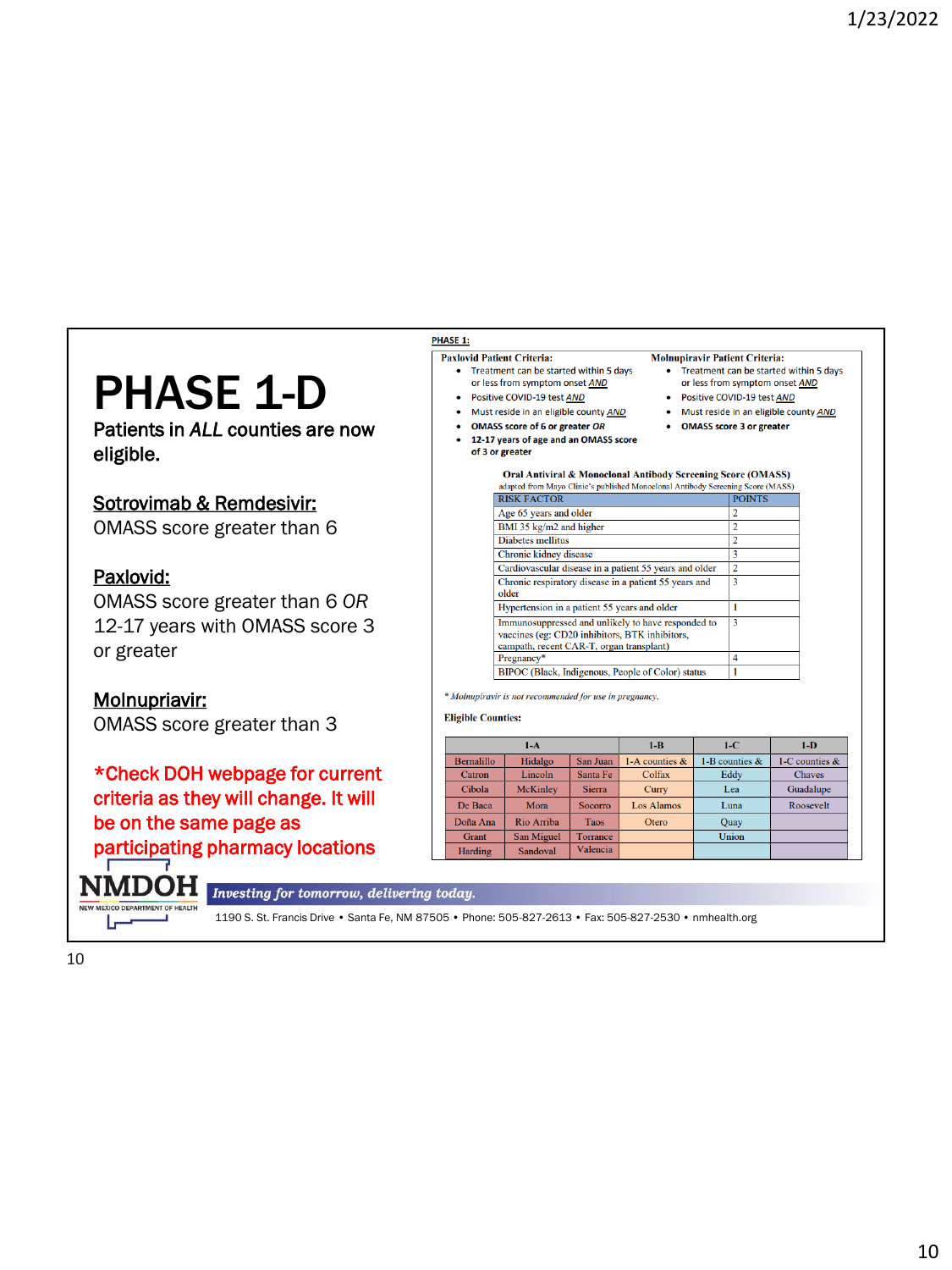## PHASE 1-D

Patients in *ALL* counties are now eligible.

#### Sotrovimab & Remdesivir:

OMASS score greater than 6

#### Paxlovid:

**NMDOH** 

NEW MEXICO DEPARTMENT OF HEALTH مصرا

OMASS score greater than 6 *OR* 12-17 years with OMASS score 3 or greater

Molnupriavir: OMASS score greater than 3

\*Check DOH webpage for current criteria as they will change. It will be on the same page as participating pharmacy locations

Investing for tomorrow, delivering today.

1190 S. St. Francis Drive • Santa Fe, NM 87505 • Phone: 505-827-2613 • Fax: 505-827-2530 • nmhealth.org

#### **PHASE 1:**

- **Paxlovid Patient Criteria:** • Treatment can be started within 5 days
- or less from symptom onset AND
- Positive COVID-19 test AND
- Must reside in an eligible county AND
- OMASS score of 6 or greater OR
- 12-17 years of age and an OMASS score of 3 or greater
- **Molnupiravir Patient Criteria:** • Treatment can be started within 5 days
	- or less from symptom onset AND
	- Positive COVID-19 test AND
	- Must reside in an eligible county AND
	- OMASS score 3 or greater

#### Oral Antiviral & Monoclonal Antibody Screening Score (OMASS) adapted from Mayo Clinic's published Monoclonal Antibody Screening Score (MASS)

| <b>RISK FACTOR</b>                                                                                                                               | <b>POINTS</b>  |
|--------------------------------------------------------------------------------------------------------------------------------------------------|----------------|
| Age 65 years and older                                                                                                                           | 2              |
| BMI 35 kg/m2 and higher                                                                                                                          | 2              |
| Diabetes mellitus                                                                                                                                | $\overline{2}$ |
| Chronic kidney disease                                                                                                                           | 3              |
| Cardiovascular disease in a patient 55 years and older                                                                                           | $\overline{2}$ |
| Chronic respiratory disease in a patient 55 years and<br>older                                                                                   | 3              |
| Hypertension in a patient 55 years and older                                                                                                     |                |
| Immunosuppressed and unlikely to have responded to<br>vaccines (eg: CD20 inhibitors, BTK inhibitors,<br>campath, recent CAR-T, organ transplant) | 3              |
| Pregnancy*                                                                                                                                       | 4              |
| BIPOC (Black, Indigenous, People of Color) status                                                                                                |                |

\* Molnupiravir is not recommended for use in pregnancy

#### **Eligible Counties:**

|                   | $1-A$             |                | $1 - B$           | $1-C$            | $1-D$             |
|-------------------|-------------------|----------------|-------------------|------------------|-------------------|
| <b>Bernalillo</b> | Hidalgo           | San Juan       | 1-A counties $\&$ | 1-B counties $&$ | 1-C counties $\&$ |
| Catron            | Lincoln           | Santa Fe       | Colfax            | Eddy             | <b>Chaves</b>     |
| Cibola            | <b>McKinley</b>   | <b>Sierra</b>  | Curry             | Lea              | Guadalupe         |
| De Baca           | Mora              | <b>Socorro</b> | <b>Los Alamos</b> | Luna             | Roosevelt         |
| Doña Ana          | Rio Arriba        | <b>Taos</b>    | Otero             | Quay             |                   |
| Grant             | <b>San Miguel</b> | Torrance       |                   | Union            |                   |
| Harding           | Sandoval          | Valencia       |                   |                  |                   |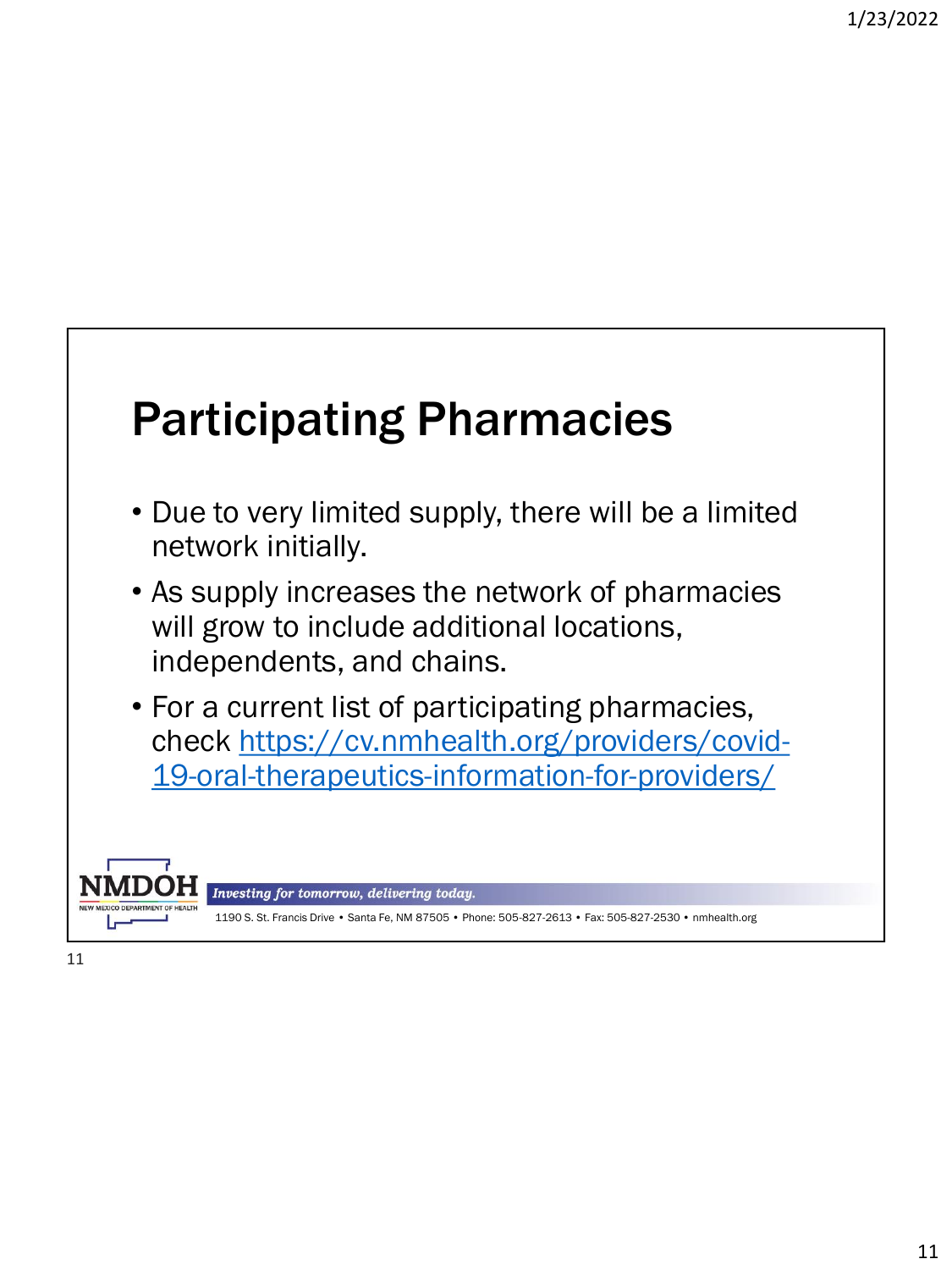## Participating Pharmacies

- Due to very limited supply, there will be a limited network initially.
- As supply increases the network of pharmacies will grow to include additional locations, independents, and chains.
- For a current list of participating pharmacies, check https://cv.nmhealth.org/providers/covid-[19-oral-therapeutics-information-for-providers/](https://cv.nmhealth.org/providers/covid-19-oral-therapeutics-information-for-providers/)

Investing for tomorrow, delivering today.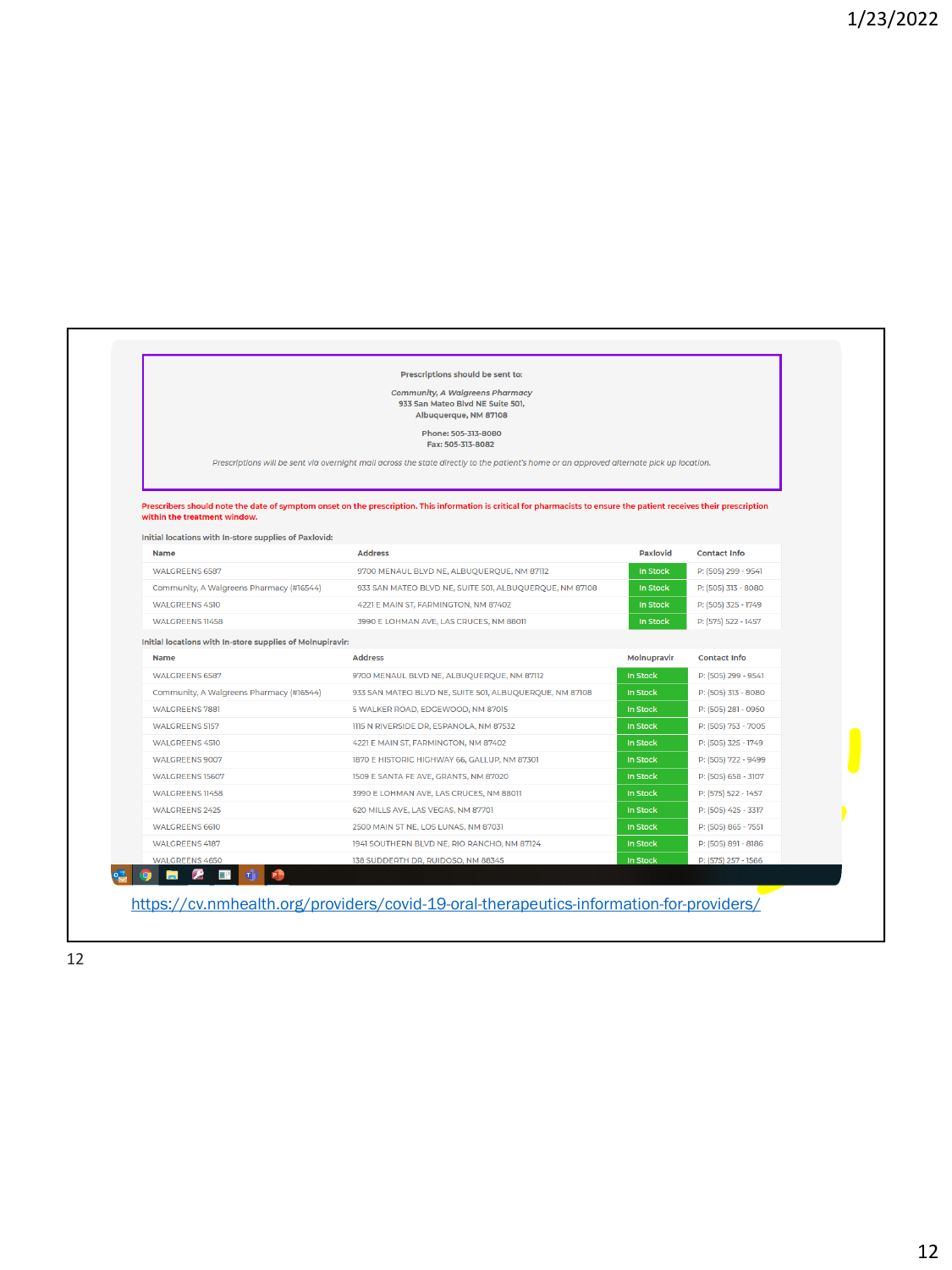|                                                                                       | <b>Community, A Walgreens Pharmacy</b><br>933 San Mateo Blvd NE Suite 501,<br>Albuquerque, NM 87108<br>Phone: 505-313-8080                                            |             |                     |
|---------------------------------------------------------------------------------------|-----------------------------------------------------------------------------------------------------------------------------------------------------------------------|-------------|---------------------|
|                                                                                       | Fax: 505-313-8082                                                                                                                                                     |             |                     |
|                                                                                       | Prescriptions will be sent via overnight mail across the state directly to the patient's home or an approved alternate pick up location.                              |             |                     |
| within the treatment window.<br>Initial locations with In-store supplies of Paxlovid: | Prescribers should note the date of symptom onset on the prescription. This information is critical for pharmacists to ensure the patient receives their prescription |             |                     |
| Name                                                                                  | <b>Address</b>                                                                                                                                                        | Paxlovid    | <b>Contact Info</b> |
| <b>WALGREENS 6587</b>                                                                 | 9700 MENAUL BLVD NE, ALBUQUERQUE, NM 87112                                                                                                                            | In Stock    | P: (505) 299 - 9541 |
| Community, A Walgreens Pharmacy (#16544)                                              | 933 SAN MATEO BLVD NE, SUITE 501, ALBUQUERQUE, NM 87108                                                                                                               | In Stock    | P: (505) 313 - 8080 |
| <b>WALGREENS 4510</b>                                                                 | 4221 E MAIN ST, FARMINGTON, NM 87402                                                                                                                                  | In Stock    | P: (505) 325 - 1749 |
| WALGREENS 11458                                                                       | 3990 E LOHMAN AVE, LAS CRUCES, NM 88011                                                                                                                               | In Stock    | P: (575) 522 - 1457 |
| Initial locations with In-store supplies of Molnupiravir:                             |                                                                                                                                                                       |             |                     |
| Name                                                                                  | <b>Address</b>                                                                                                                                                        | Molnupravir | <b>Contact Info</b> |
| <b>WALGREENS 6587</b>                                                                 | 9700 MENAUL BLVD NE, ALBUQUERQUE, NM 87112                                                                                                                            | In Stock    | P: (505) 299 - 9541 |
| Community, A Walgreens Pharmacy (#16544)                                              | 933 SAN MATEO BLVD NE, SUITE 501, ALBUQUERQUE, NM 87108                                                                                                               | In Stock    | P: (505) 313 - 8080 |
| <b>WALGREENS 7881</b>                                                                 | 5 WALKER ROAD, EDGEWOOD, NM 87015                                                                                                                                     | In Stock    | P: (505) 281 - 0950 |
| <b>WALGREENS 5157</b>                                                                 | 1115 N RIVERSIDE DR, ESPANOLA, NM 87532                                                                                                                               | In Stock    | P: (505) 753 - 7005 |
| <b>WALGREENS 4510</b>                                                                 | 4221 E MAIN ST, FARMINGTON, NM 87402                                                                                                                                  | In Stock    | P: (505) 325 - 1749 |
| <b>WALGREENS 9007</b>                                                                 | 1870 E HISTORIC HIGHWAY 66, GALLUP, NM 87301                                                                                                                          | In Stock    | P: (505) 722 - 9499 |
| <b>WALGREENS 15607</b>                                                                | 1509 E SANTA FE AVE, GRANTS, NM 87020                                                                                                                                 | In Stock    | P: (505) 658 - 3107 |
| WALGREENS 11458                                                                       | 3990 E LOHMAN AVE, LAS CRUCES, NM 88011                                                                                                                               | In Stock    | P: (575) 522 - 1457 |
| <b>WALGREENS 2425</b>                                                                 | 620 MILLS AVE, LAS VEGAS, NM 87701                                                                                                                                    | In Stock    | P: (505) 425 - 3317 |
| <b>WALGREENS 6610</b>                                                                 | 2500 MAIN ST NE, LOS LUNAS, NM 87031                                                                                                                                  | In Stock    | P: (505) 865 - 7551 |
| <b>WALGREENS 4187</b>                                                                 | 1941 SOUTHERN BLVD NE, RIO RANCHO, NM 87124                                                                                                                           | In Stock    | P: (505) 891 - 8186 |
|                                                                                       | 138 SUDDERTH DR, RUIDOSO, NM 88345                                                                                                                                    | In Stock    | P: (575) 257 - 1566 |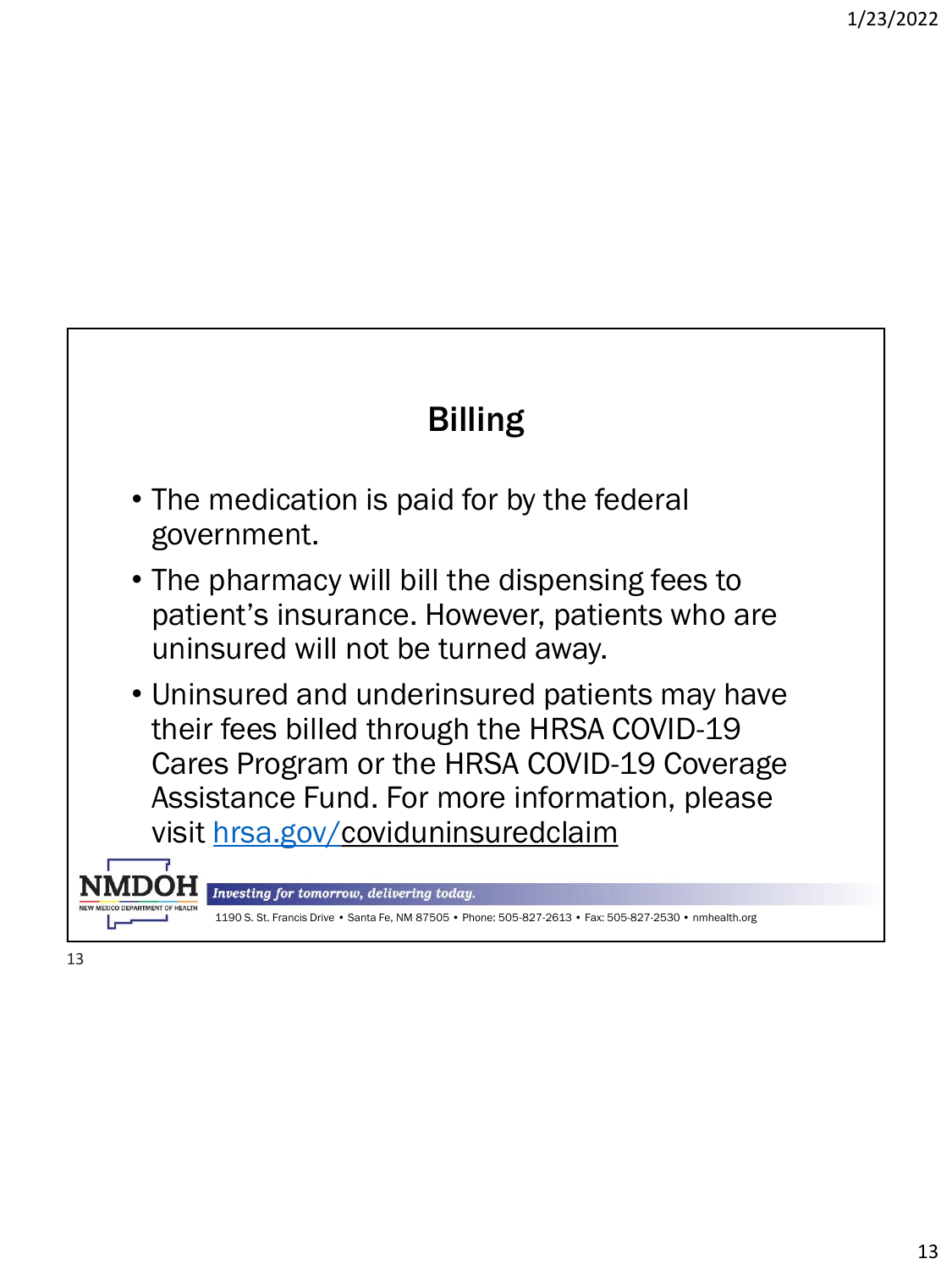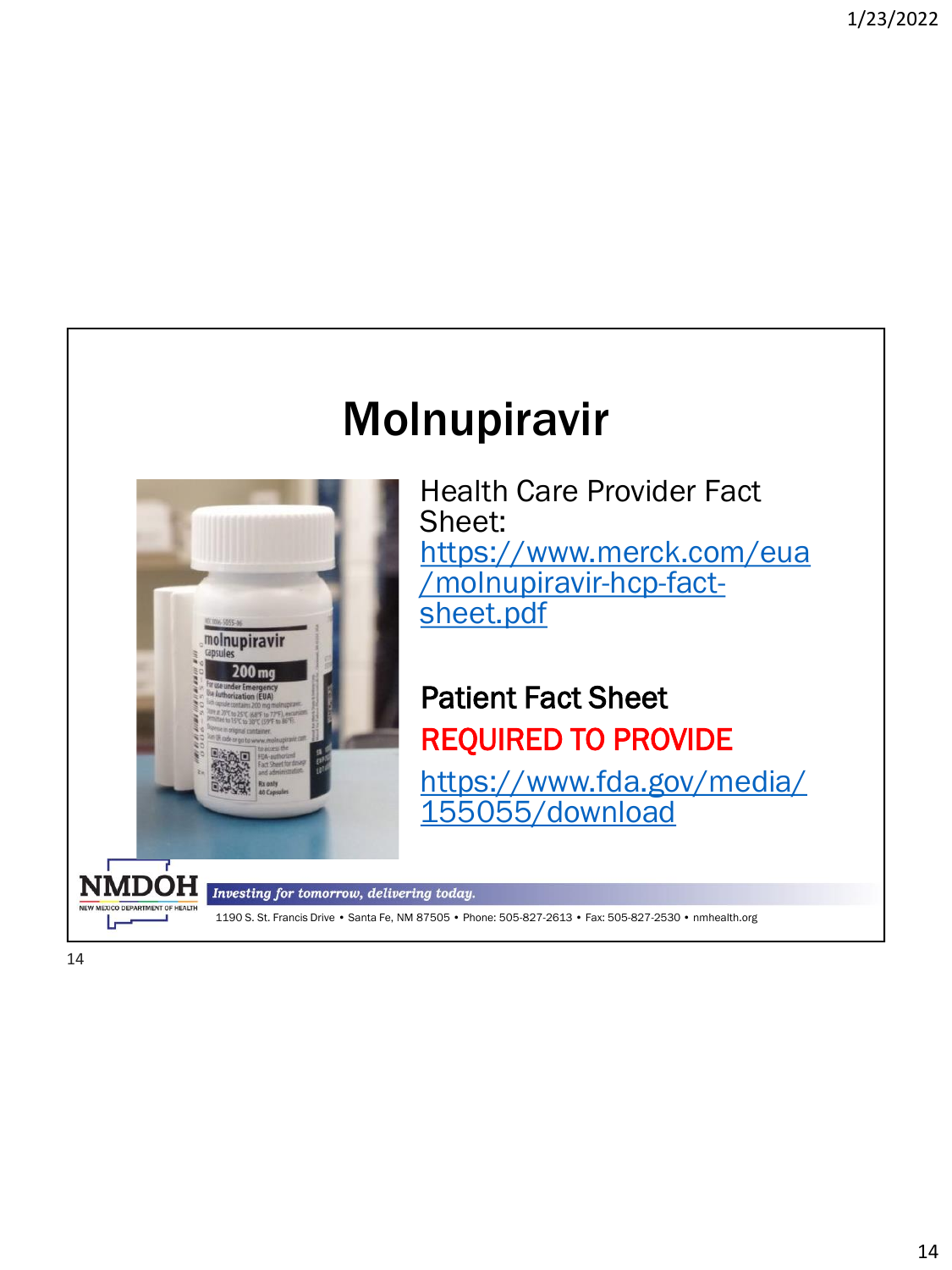## Molnupiravir



Health Care Provider Fact Sheet: [https://www.merck.com/eua](https://www.merck.com/eua/molnupiravir-hcp-fact-sheet.pdf) /molnupiravir-hcp-factsheet.pdf

### Patient Fact Sheet REQUIRED TO PROVIDE

[https://www.fda.gov/media/](https://www.fda.gov/media/155055/download) 155055/download

Investing for tomorrow, delivering today.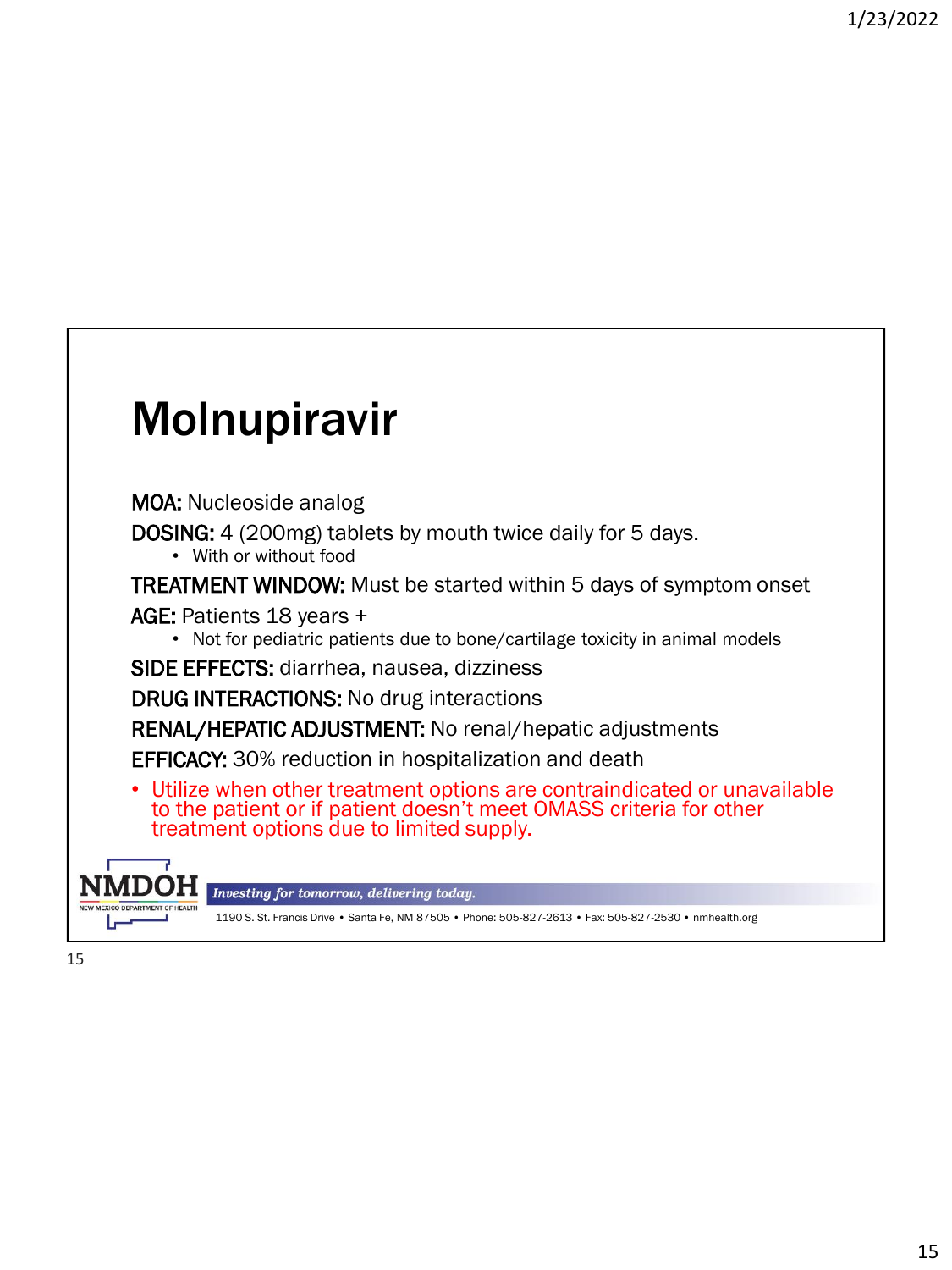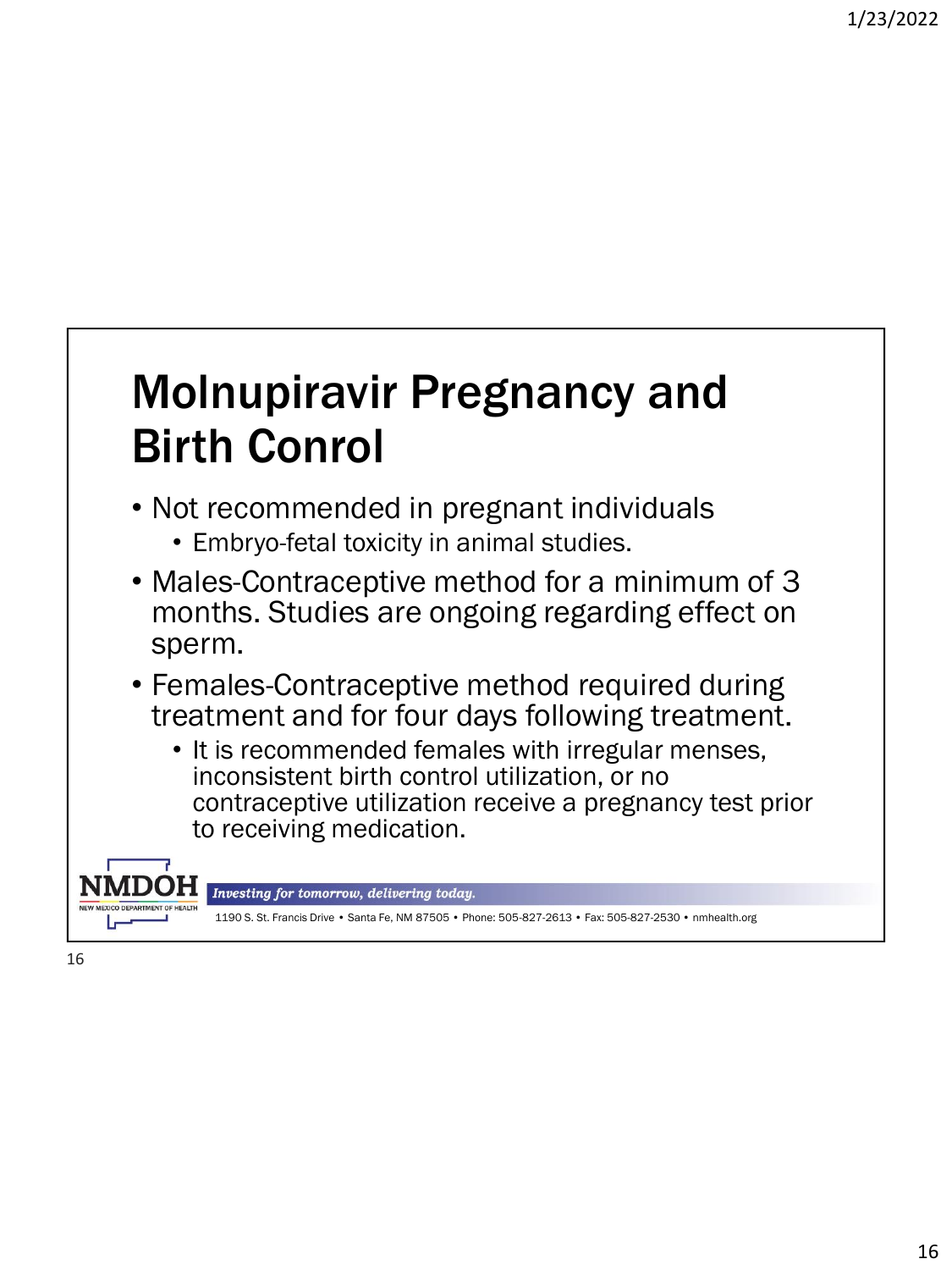## Molnupiravir Pregnancy and Birth Conrol

- Not recommended in pregnant individuals
	- Embryo-fetal toxicity in animal studies.
- Males-Contraceptive method for a minimum of 3 months. Studies are ongoing regarding effect on sperm.
- Females-Contraceptive method required during treatment and for four days following treatment.
	- It is recommended females with irregular menses, inconsistent birth control utilization, or no contraceptive utilization receive a pregnancy test prior to receiving medication.



Investing for tomorrow, delivering today.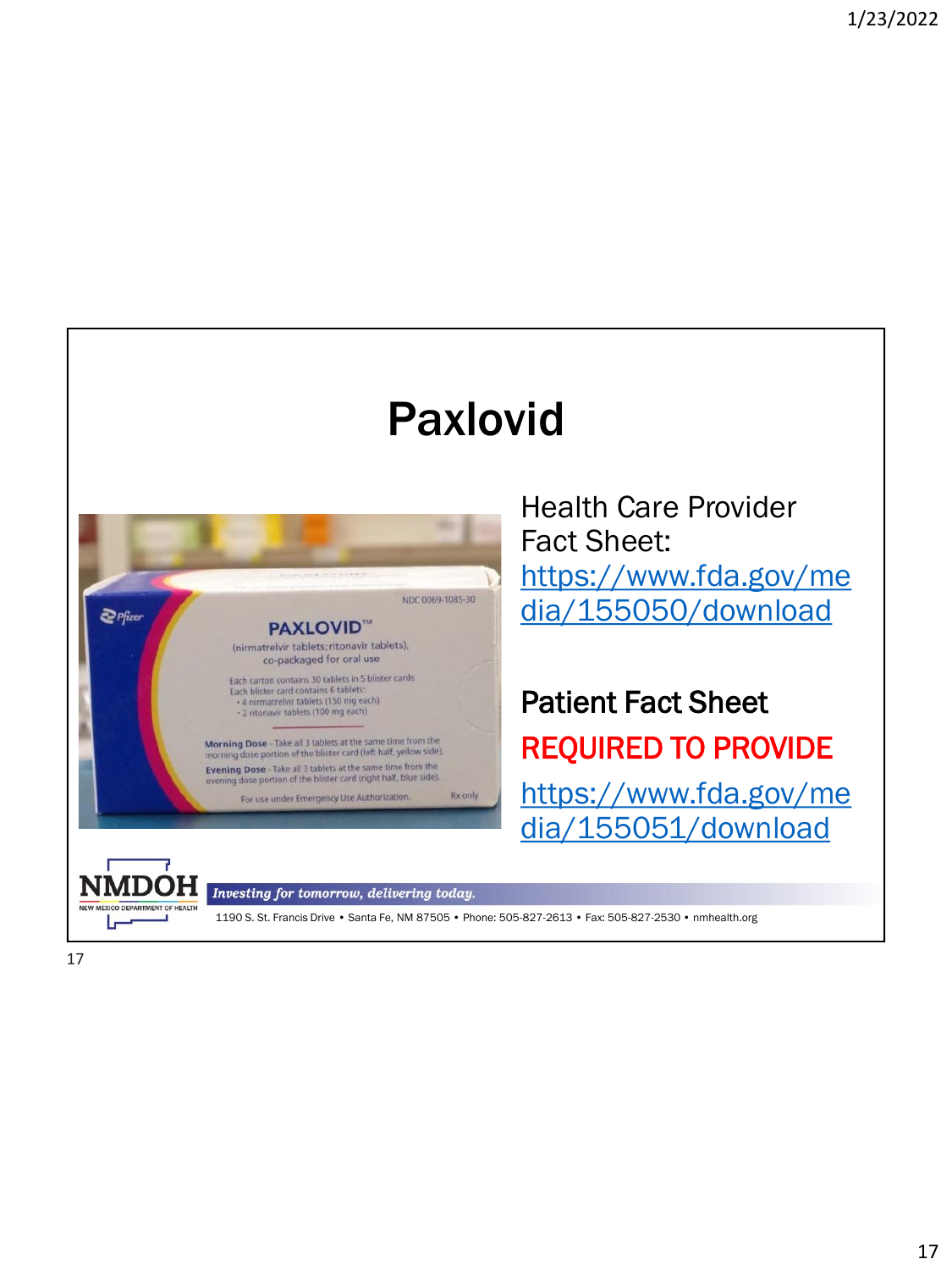## Paxlovid



Health Care Provider Fact Sheet: https://www.fda.gov/me [dia/155050/download](https://www.fda.gov/media/155050/download)

Patient Fact Sheet REQUIRED TO PROVIDE https://www.fda.gov/me [dia/155051/download](https://www.fda.gov/media/155051/download)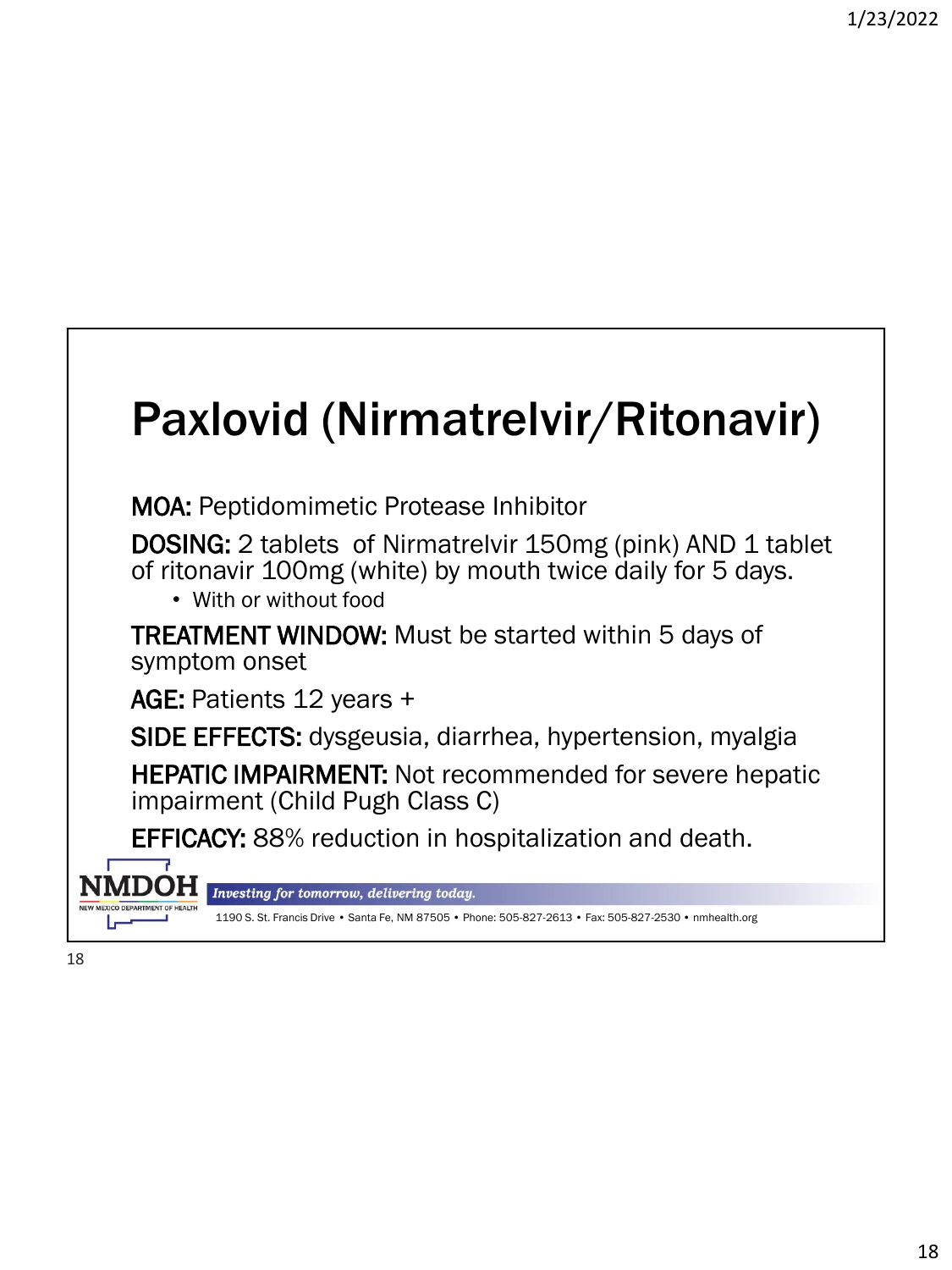## Paxlovid (Nirmatrelvir/Ritonavir)

MOA: Peptidomimetic Protease Inhibitor

**DOSING:** 2 tablets of Nirmatrelvir 150mg (pink) AND 1 tablet of ritonavir 100mg (white) by mouth twice daily for 5 days.

• With or without food

TREATMENT WINDOW: Must be started within 5 days of symptom onset

AGE: Patients 12 years +

SIDE EFFECTS: dysgeusia, diarrhea, hypertension, myalgia

HEPATIC IMPAIRMENT: Not recommended for severe hepatic impairment (Child Pugh Class C)

EFFICACY: 88% reduction in hospitalization and death.



Investing for tomorrow, delivering today.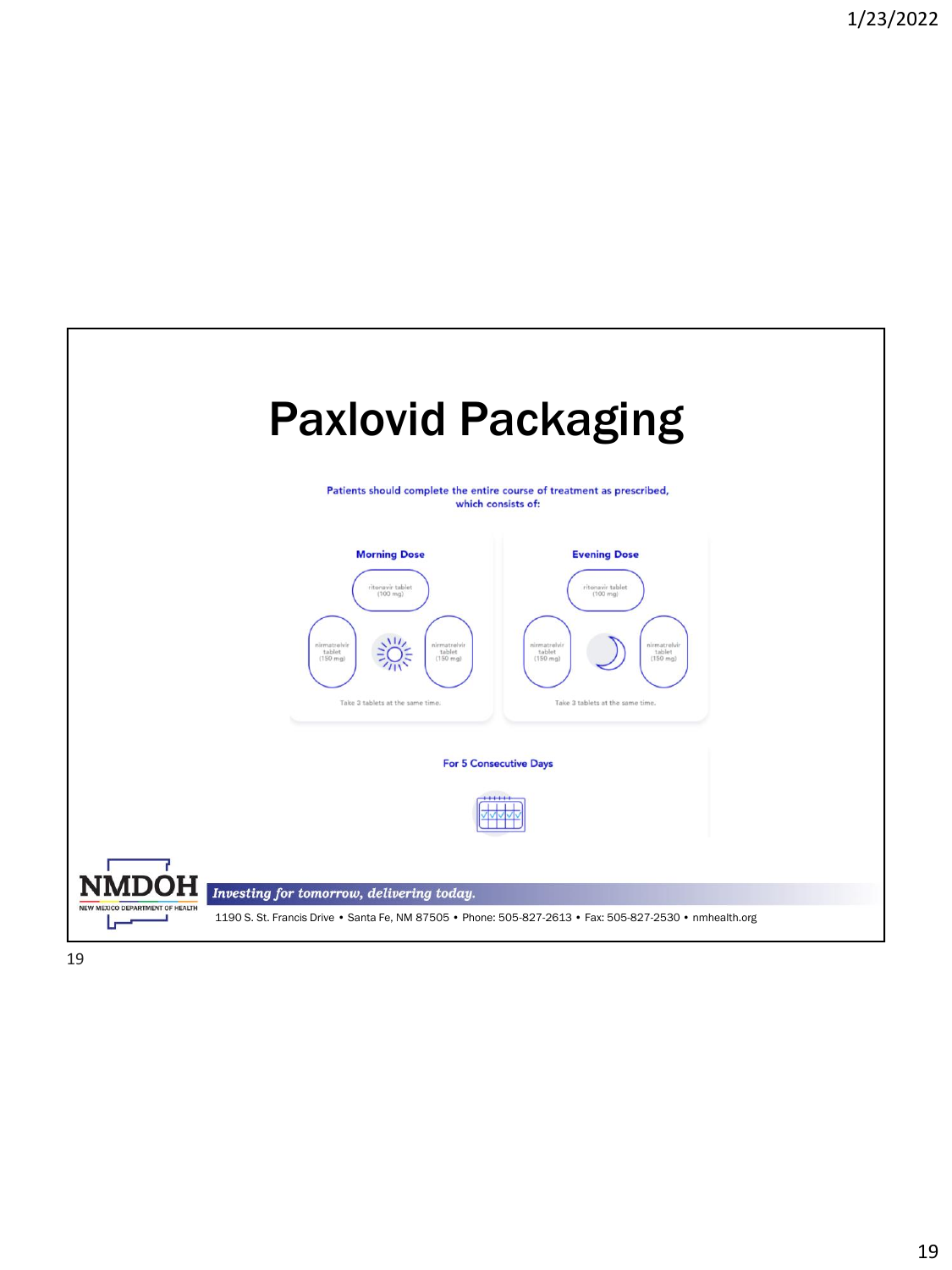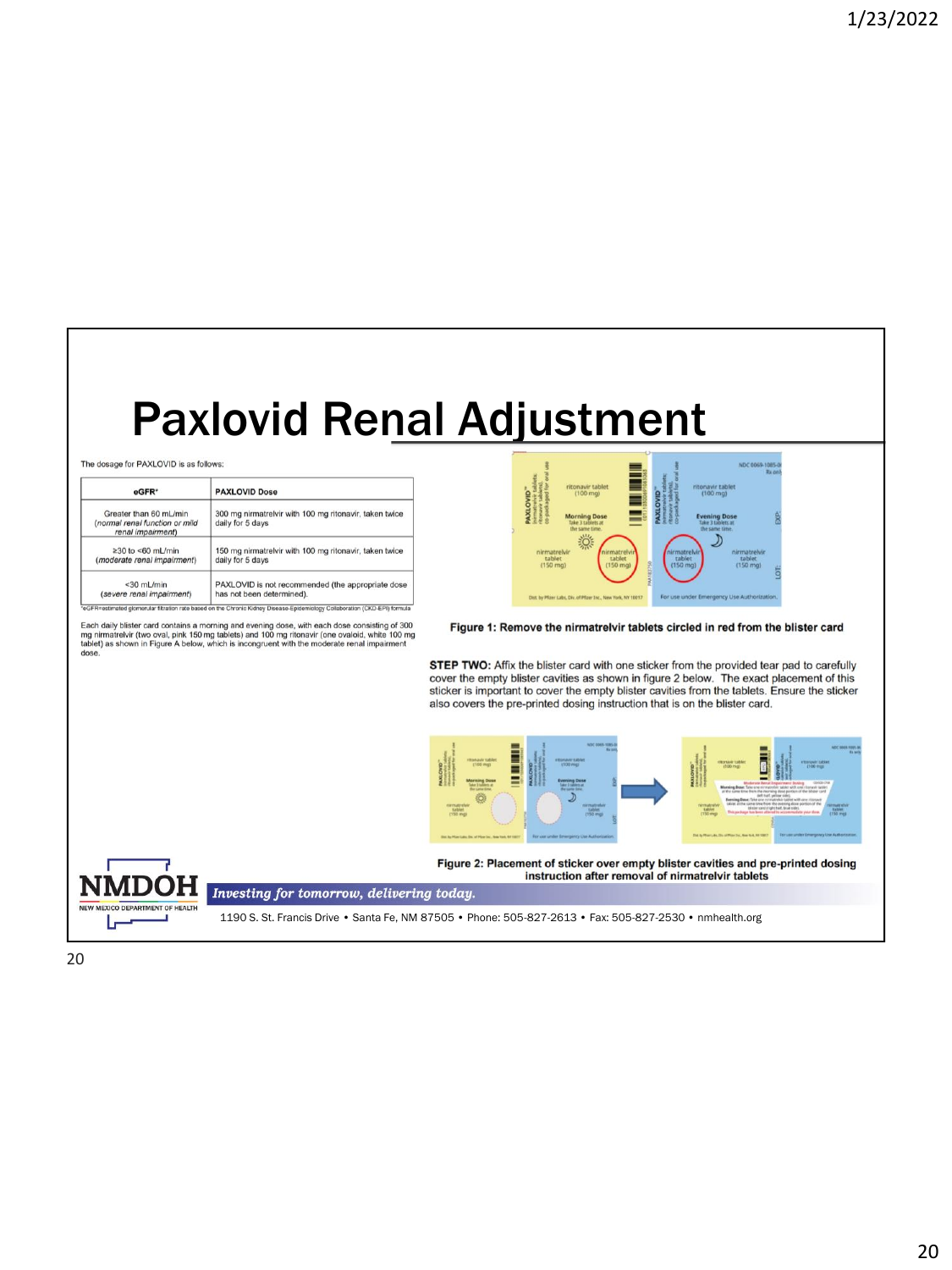## Paxlovid Renal Adjustment

The dosage for PAXLOVID is as follows:

| eGFR*                                                                         | <b>PAXLOVID Dose</b>                                                       |  |  |  |
|-------------------------------------------------------------------------------|----------------------------------------------------------------------------|--|--|--|
| Greater than 60 mL/min<br>(normal renal function or mild<br>renal impairment) | 300 mg nirmatrelvir with 100 mg ritonavir, taken twice<br>daily for 5 days |  |  |  |
| $\geq$ 30 to <60 mL/min                                                       | 150 mg nirmatrelvir with 100 mg ritonavir, taken twice.                    |  |  |  |
| (moderate renal impairment)                                                   | daily for 5 days                                                           |  |  |  |
| $<$ 30 mL/min                                                                 | PAXLOVID is not recommended (the appropriate dose                          |  |  |  |
| (severe renal impairment)                                                     | has not been determined).                                                  |  |  |  |

Each daily blister card contains a morning and evening dose, with each dose consisting of 300<br>mg nimatretwir (two oval, pink 150 mg tablets) and 100 mg ritonavir (one ovaloid, white 100 mg<br>tablet) as shown in Figure A belo



Figure 1: Remove the nirmatrelvir tablets circled in red from the blister card

STEP TWO: Affix the blister card with one sticker from the provided tear pad to carefully cover the empty blister cavities as shown in figure 2 below. The exact placement of this sticker is important to cover the empty blister cavities from the tablets. Ensure the sticker also covers the pre-printed dosing instruction that is on the blister card.



instruction after removal of nirmatrelvir tablets



Investing for tomorrow, delivering today.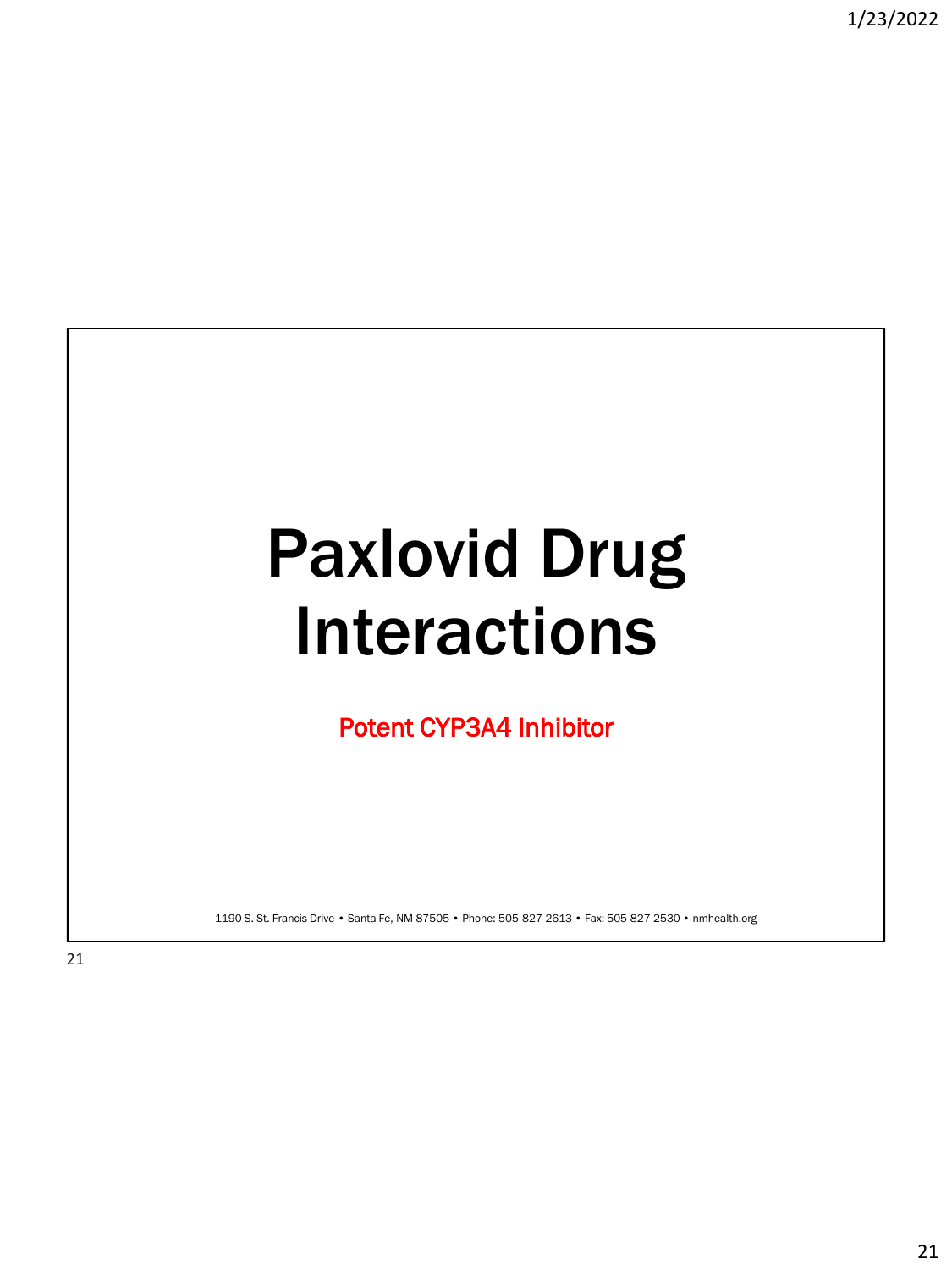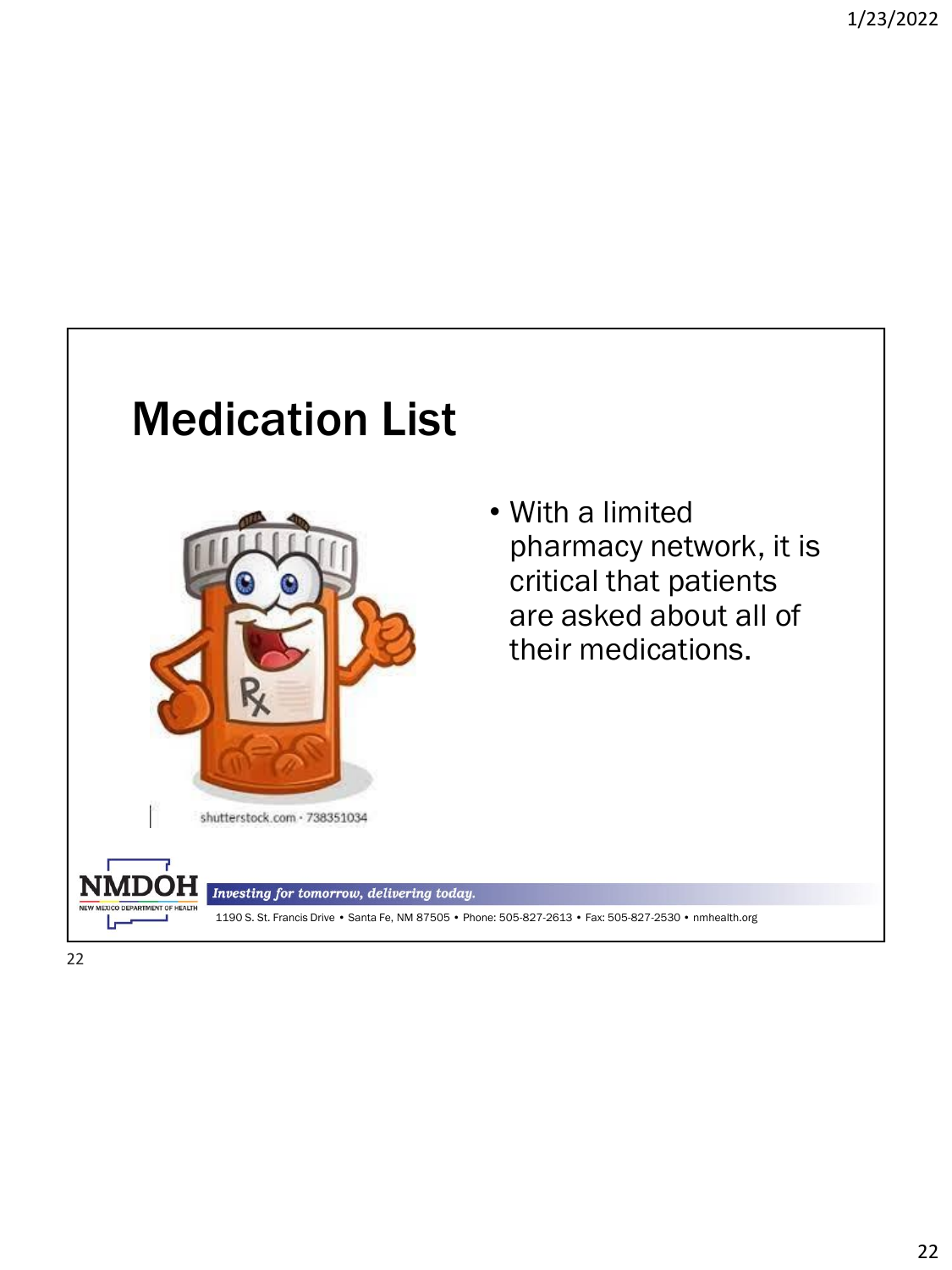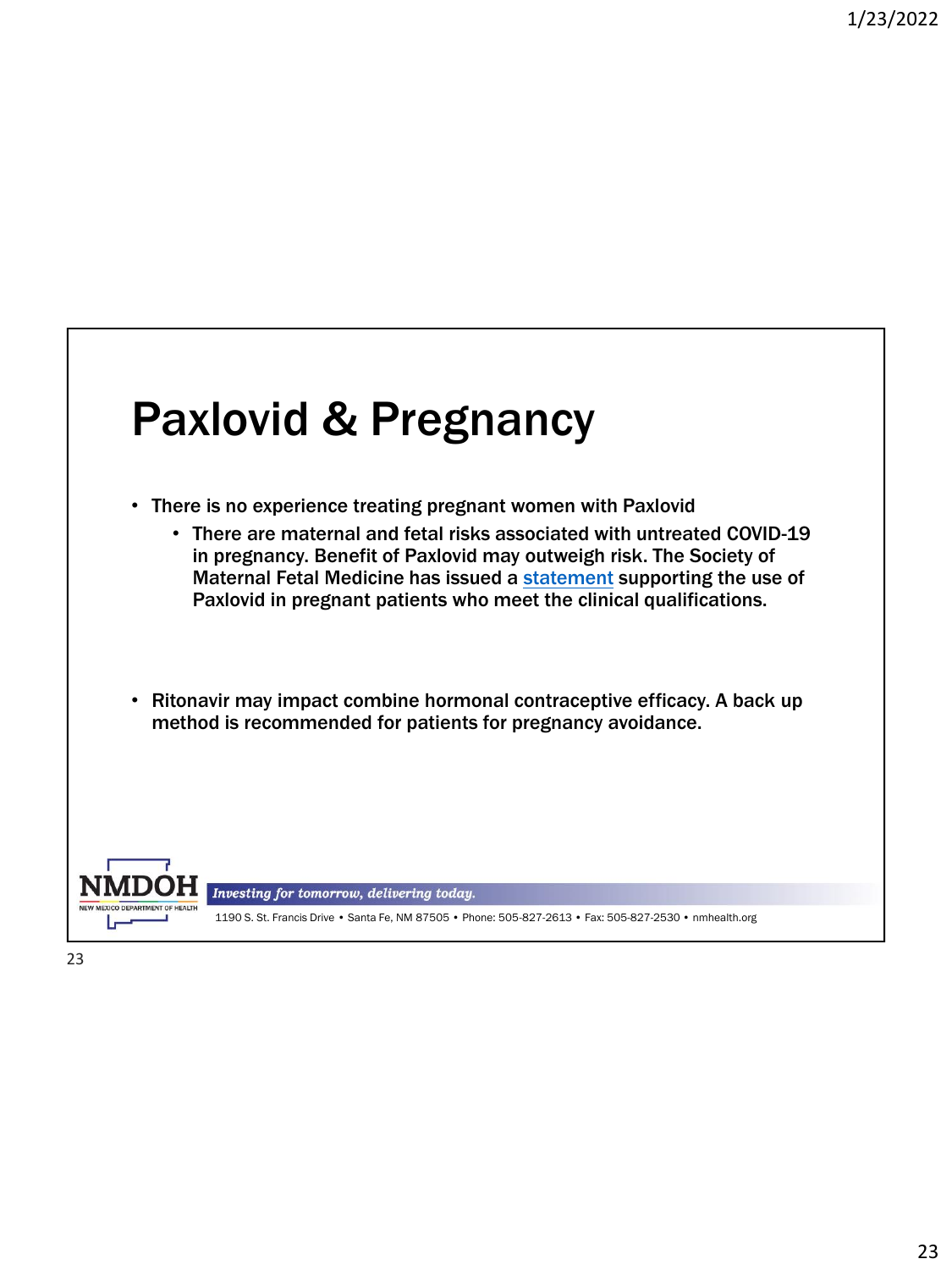